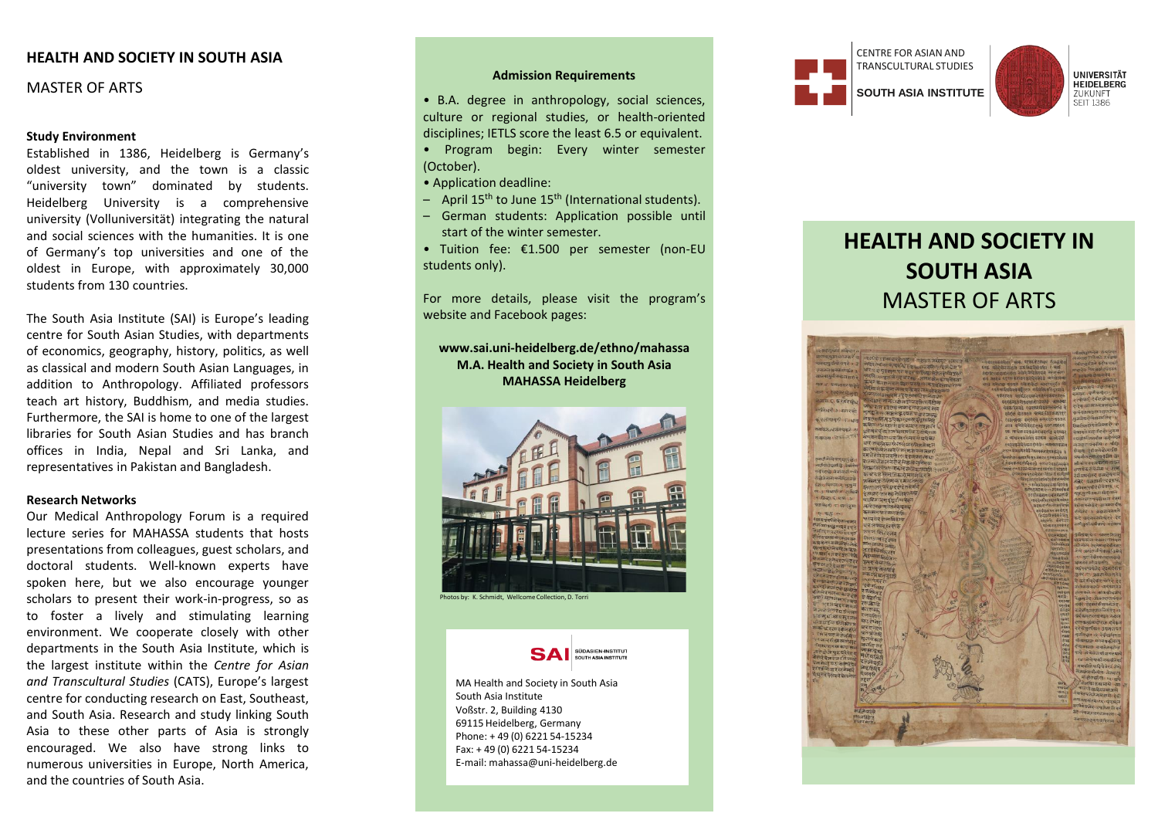# **HEALTH AND SOCIETY IN SOUTH ASIA**

# MASTER OF ARTS

## **Study Environment**

Established in 1386 , Heidelberg is Germany's oldest university, and the town is a classic "university town" dominated by students . Heidelberg University is a comprehensive university (Volluniversität ) integrating the natural and social sciences with the humanities . It is one of Germany's top universities and one of the oldest in Europe, with approximately 30 ,000 students from 130 countries .

The South Asia Institute (SAI) is Europe's leading centre for South Asian Studies, with departments of economics, geography, history, politics, as well as classical and modern South Asian Languages, in addition to Anthropology . Affiliated professors teach art history, Buddhism, and media studies . Furthermore, the SAI is home to one of the largest libraries for South Asian Studies and has branch offices in India, Nepal and Sri Lanka, and representatives in Pakistan and Bangladesh .

#### **Research Networks**

Our Medical Anthropology Forum is a required lecture series for MAHASSA students that hosts presentations from colleagues, guest scholars, and doctoral students . Well -known experts have spoken here, but we also encourage younger scholars to present their work -in -progress , so as to foster a lively and stimulating learning environment . We cooperate closely with other departments in the South Asia Institute, which is the largest institute within the *Centre for Asian and Transcultural Studies* (CATS), Europe's largest centre for conducting research on East, Southeast, and South Asia . Research and study linking South Asia to these other parts of Asia is strongly encouraged . We also have strong links to numerous universities in Europe, North America, and the countries of South Asia .

## **Admission Requirements**

• B . A . degree in anthropology, social sciences, culture or regional studies, or health -oriented disciplines ; IETLS score the least 6 . 5 or equivalent .

- Program begin : Every winter semester (October) .
- Application deadline :
- April 15<sup>th</sup> to June 15<sup>th</sup> (International students).
- German students : Application possible until start of the winter semester .
- Tuition fee : € 1 .500 per semester (non -EU students only) .

For more details, please visit the program's website and Facebook pages :

# **www.sai.uni -heidelberg.de/ethno/mahassa M.A. Health and Society in South Asia MAHASSA Heidelberg**



ptos by: K. Schmidt, Wellcome Collection, D. Torri



MA Health and Society in South Asia South Asia Institute Voßstr. 2, Building 4130 69115 Heidelberg, Germany Phone: + 49 (0) 6221 54 -15234 Fax: + 49 (0) 6221 54 -15234 E -mail: mahassa@uni -heidelberg.de



# **HEALTH AND SOCIETY IN SOUTH ASIA** MASTER OF ARTS

UNIVERSITÄT<br>HEIDELBERG ZUKUNFT **SEIT 1386**